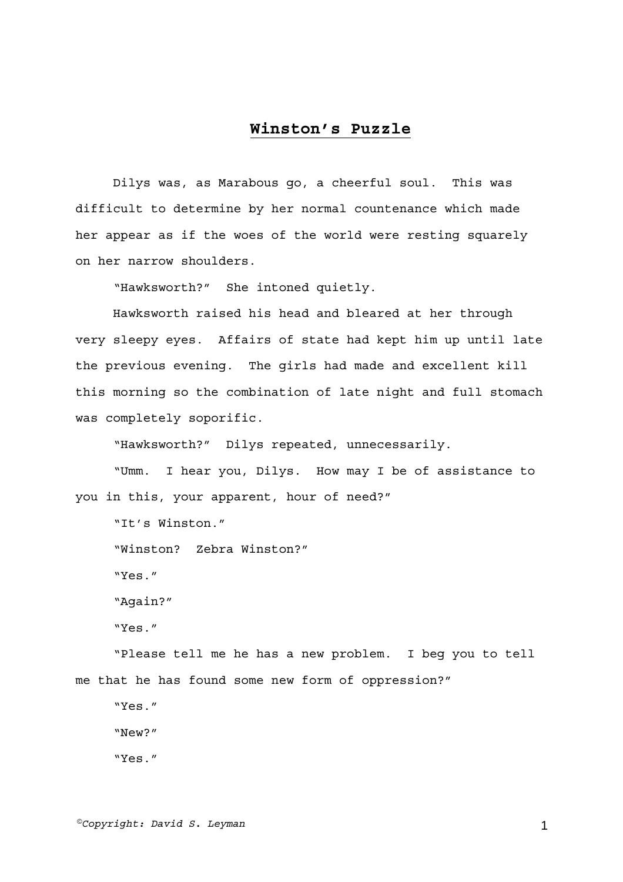## **Winston's Puzzle**

Dilys was, as Marabous go, a cheerful soul. This was difficult to determine by her normal countenance which made her appear as if the woes of the world were resting squarely on her narrow shoulders.

"Hawksworth?" She intoned quietly.

Hawksworth raised his head and bleared at her through very sleepy eyes. Affairs of state had kept him up until late the previous evening. The girls had made and excellent kill this morning so the combination of late night and full stomach was completely soporific.

"Hawksworth?" Dilys repeated, unnecessarily.

"Umm. I hear you, Dilys. How may I be of assistance to you in this, your apparent, hour of need?"

"It's Winston." "Winston? Zebra Winston?" "Yes." "Again?" "Yes."

"Please tell me he has a new problem. I beg you to tell me that he has found some new form of oppression?"

"Yes."

"New?"

"Yes."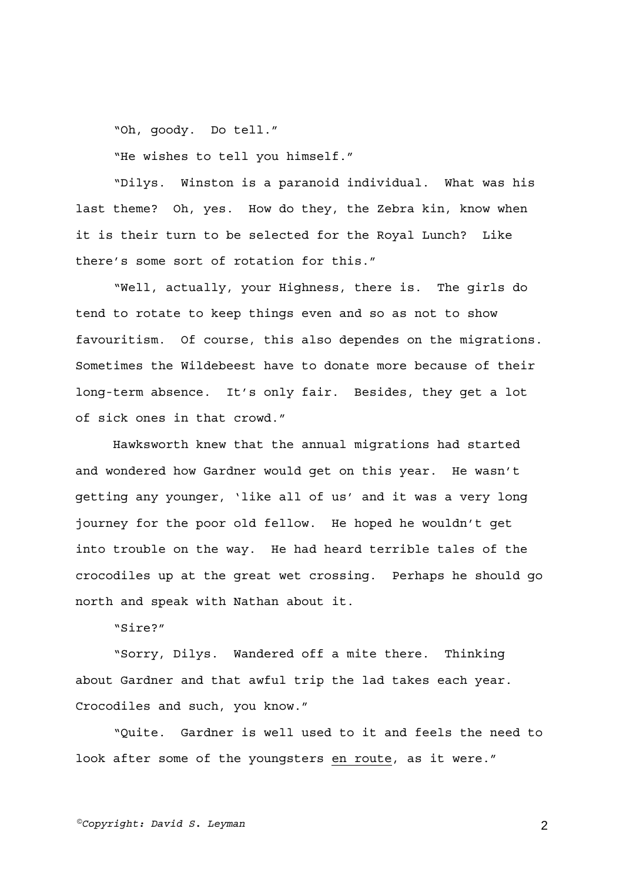"Oh, goody. Do tell."

"He wishes to tell you himself."

"Dilys. Winston is a paranoid individual. What was his last theme? Oh, yes. How do they, the Zebra kin, know when it is their turn to be selected for the Royal Lunch? Like there's some sort of rotation for this."

"Well, actually, your Highness, there is. The girls do tend to rotate to keep things even and so as not to show favouritism. Of course, this also dependes on the migrations. Sometimes the Wildebeest have to donate more because of their long-term absence. It's only fair. Besides, they get a lot of sick ones in that crowd."

Hawksworth knew that the annual migrations had started and wondered how Gardner would get on this year. He wasn't getting any younger, 'like all of us' and it was a very long journey for the poor old fellow. He hoped he wouldn't get into trouble on the way. He had heard terrible tales of the crocodiles up at the great wet crossing. Perhaps he should go north and speak with Nathan about it.

"Sire?"

"Sorry, Dilys. Wandered off a mite there. Thinking about Gardner and that awful trip the lad takes each year. Crocodiles and such, you know."

"Quite. Gardner is well used to it and feels the need to look after some of the youngsters en route, as it were."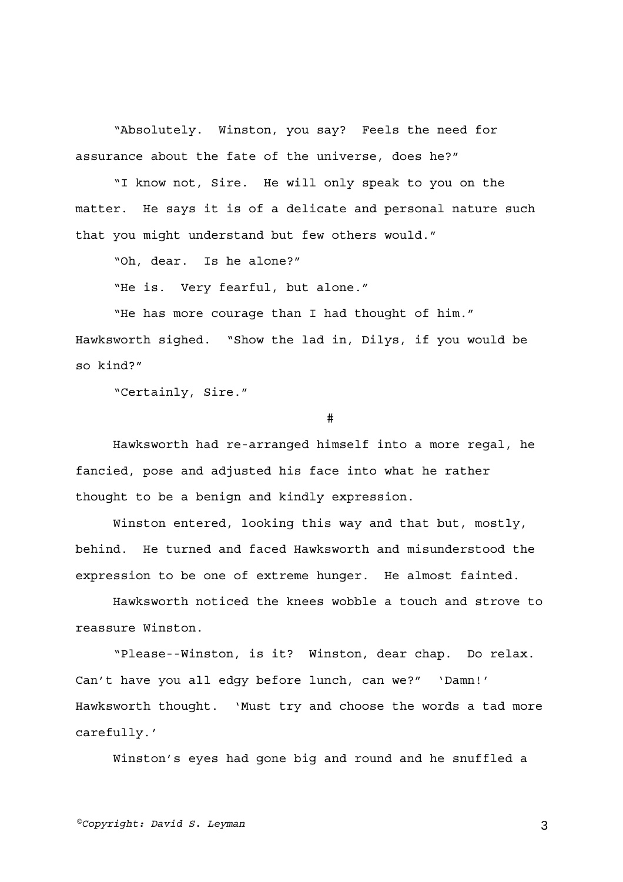"Absolutely. Winston, you say? Feels the need for assurance about the fate of the universe, does he?"

"I know not, Sire. He will only speak to you on the matter. He says it is of a delicate and personal nature such that you might understand but few others would."

"Oh, dear. Is he alone?"

"He is. Very fearful, but alone."

"He has more courage than I had thought of him." Hawksworth sighed. "Show the lad in, Dilys, if you would be so kind?"

"Certainly, Sire."

#

Hawksworth had re-arranged himself into a more regal, he fancied, pose and adjusted his face into what he rather thought to be a benign and kindly expression.

Winston entered, looking this way and that but, mostly, behind. He turned and faced Hawksworth and misunderstood the expression to be one of extreme hunger. He almost fainted.

Hawksworth noticed the knees wobble a touch and strove to reassure Winston.

"Please--Winston, is it? Winston, dear chap. Do relax. Can't have you all edgy before lunch, can we?" 'Damn!' Hawksworth thought. 'Must try and choose the words a tad more carefully.'

Winston's eyes had gone big and round and he snuffled a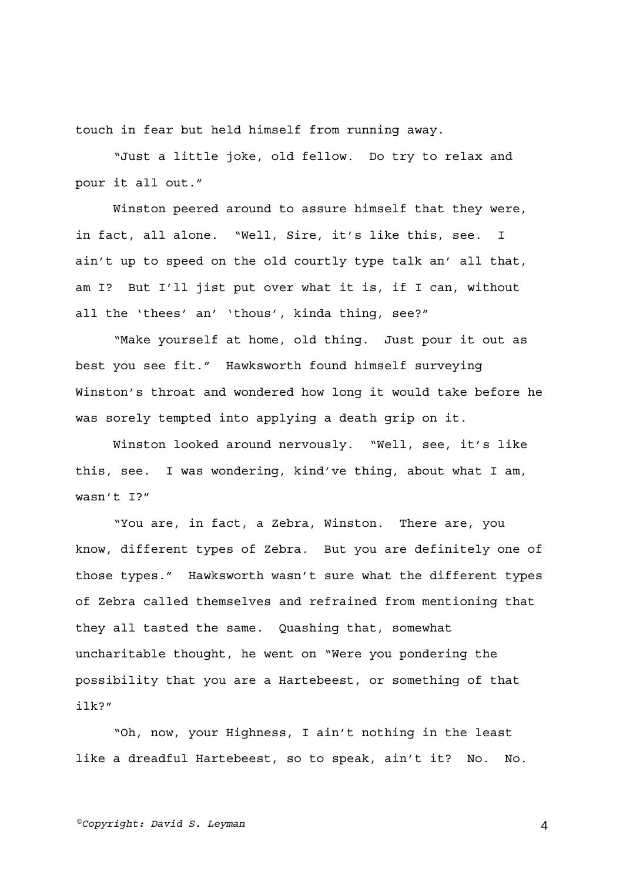touch in fear but held himself from running away.

"Just a little joke, old fellow. Do try to relax and pour it all out."

Winston peered around to assure himself that they were, in fact, all alone. "Well, Sire, it's like this, see. I ain't up to speed on the old courtly type talk an' all that, am I? But I'll jist put over what it is, if I can, without all the 'thees' an' 'thous', kinda thing, see?"

"Make yourself at home, old thing. Just pour it out as best you see fit." Hawksworth found himself surveying Winston's throat and wondered how long it would take before he was sorely tempted into applying a death grip on it.

Winston looked around nervously. "Well, see, it's like this, see. I was wondering, kind've thing, about what I am, wasn't I?"

"You are, in fact, a Zebra, Winston. There are, you know, different types of Zebra. But you are definitely one of those types." Hawksworth wasn't sure what the different types of Zebra called themselves and refrained from mentioning that they all tasted the same. Quashing that, somewhat uncharitable thought, he went on "Were you pondering the possibility that you are a Hartebeest, or something of that ilk?"

"Oh, now, your Highness, I ain't nothing in the least like a dreadful Hartebeest, so to speak, ain't it? No. No.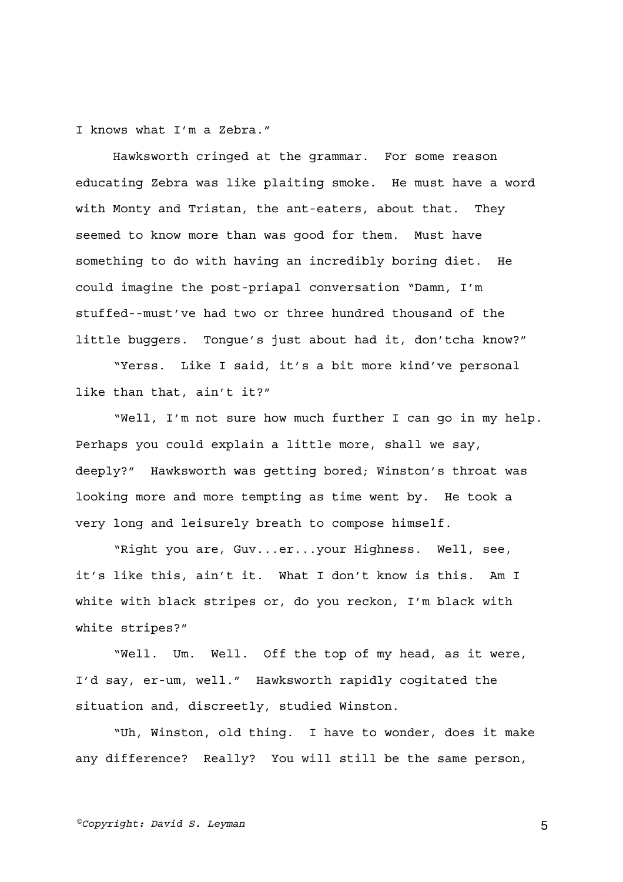I knows what I'm a Zebra."

Hawksworth cringed at the grammar. For some reason educating Zebra was like plaiting smoke. He must have a word with Monty and Tristan, the ant-eaters, about that. They seemed to know more than was good for them. Must have something to do with having an incredibly boring diet. He could imagine the post-priapal conversation "Damn, I'm stuffed--must've had two or three hundred thousand of the little buggers. Tongue's just about had it, don'tcha know?"

"Yerss. Like I said, it's a bit more kind've personal like than that, ain't it?"

"Well, I'm not sure how much further I can go in my help. Perhaps you could explain a little more, shall we say, deeply?" Hawksworth was getting bored; Winston's throat was looking more and more tempting as time went by. He took a very long and leisurely breath to compose himself.

"Right you are, Guv...er...your Highness. Well, see, it's like this, ain't it. What I don't know is this. Am I white with black stripes or, do you reckon, I'm black with white stripes?"

"Well. Um. Well. Off the top of my head, as it were, I'd say, er-um, well." Hawksworth rapidly cogitated the situation and, discreetly, studied Winston.

"Uh, Winston, old thing. I have to wonder, does it make any difference? Really? You will still be the same person,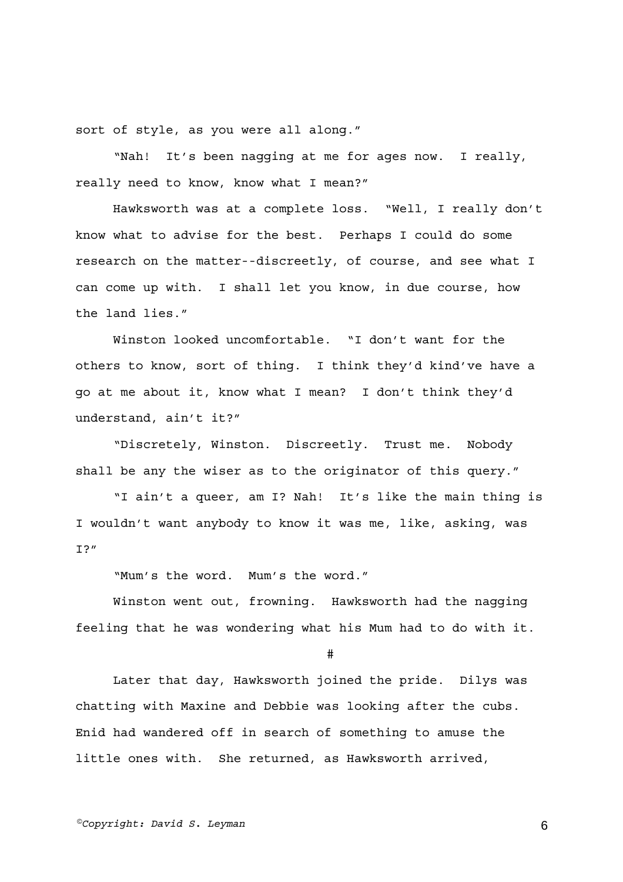sort of style, as you were all along."

"Nah! It's been nagging at me for ages now. I really, really need to know, know what I mean?"

Hawksworth was at a complete loss. "Well, I really don't know what to advise for the best. Perhaps I could do some research on the matter--discreetly, of course, and see what I can come up with. I shall let you know, in due course, how the land lies."

Winston looked uncomfortable. "I don't want for the others to know, sort of thing. I think they'd kind've have a go at me about it, know what I mean? I don't think they'd understand, ain't it?"

"Discretely, Winston. Discreetly. Trust me. Nobody shall be any the wiser as to the originator of this query."

"I ain't a queer, am I? Nah! It's like the main thing is I wouldn't want anybody to know it was me, like, asking, was  $T$ ?"

"Mum's the word. Mum's the word."

Winston went out, frowning. Hawksworth had the nagging feeling that he was wondering what his Mum had to do with it.

#

Later that day, Hawksworth joined the pride. Dilys was chatting with Maxine and Debbie was looking after the cubs. Enid had wandered off in search of something to amuse the little ones with. She returned, as Hawksworth arrived,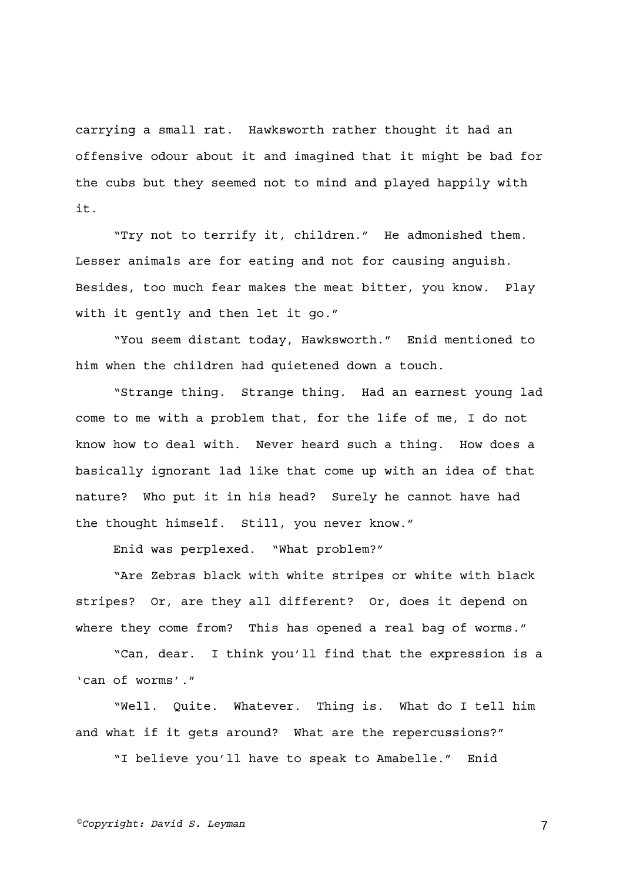carrying a small rat. Hawksworth rather thought it had an offensive odour about it and imagined that it might be bad for the cubs but they seemed not to mind and played happily with it.

"Try not to terrify it, children." He admonished them. Lesser animals are for eating and not for causing anguish. Besides, too much fear makes the meat bitter, you know. Play with it gently and then let it go."

"You seem distant today, Hawksworth." Enid mentioned to him when the children had quietened down a touch.

"Strange thing. Strange thing. Had an earnest young lad come to me with a problem that, for the life of me, I do not know how to deal with. Never heard such a thing. How does a basically ignorant lad like that come up with an idea of that nature? Who put it in his head? Surely he cannot have had the thought himself. Still, you never know."

Enid was perplexed. "What problem?"

"Are Zebras black with white stripes or white with black stripes? Or, are they all different? Or, does it depend on where they come from? This has opened a real bag of worms."

"Can, dear. I think you'll find that the expression is a 'can of worms'."

"Well. Quite. Whatever. Thing is. What do I tell him and what if it gets around? What are the repercussions?"

"I believe you'll have to speak to Amabelle." Enid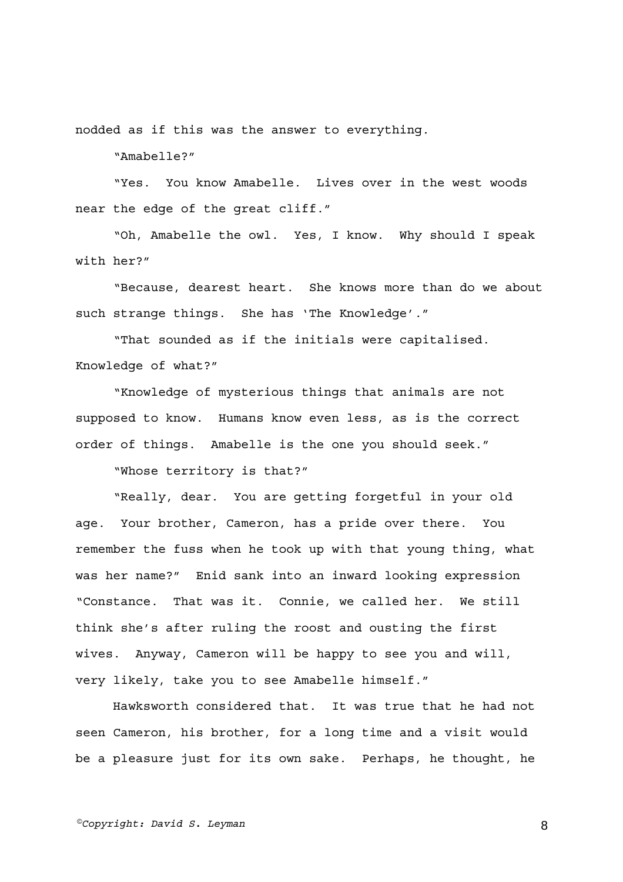nodded as if this was the answer to everything.

"Amabelle?"

"Yes. You know Amabelle. Lives over in the west woods near the edge of the great cliff."

"Oh, Amabelle the owl. Yes, I know. Why should I speak with her?"

"Because, dearest heart. She knows more than do we about such strange things. She has 'The Knowledge'."

"That sounded as if the initials were capitalised. Knowledge of what?"

"Knowledge of mysterious things that animals are not supposed to know. Humans know even less, as is the correct order of things. Amabelle is the one you should seek."

"Whose territory is that?"

"Really, dear. You are getting forgetful in your old age. Your brother, Cameron, has a pride over there. You remember the fuss when he took up with that young thing, what was her name?" Enid sank into an inward looking expression "Constance. That was it. Connie, we called her. We still think she's after ruling the roost and ousting the first wives. Anyway, Cameron will be happy to see you and will, very likely, take you to see Amabelle himself."

Hawksworth considered that. It was true that he had not seen Cameron, his brother, for a long time and a visit would be a pleasure just for its own sake. Perhaps, he thought, he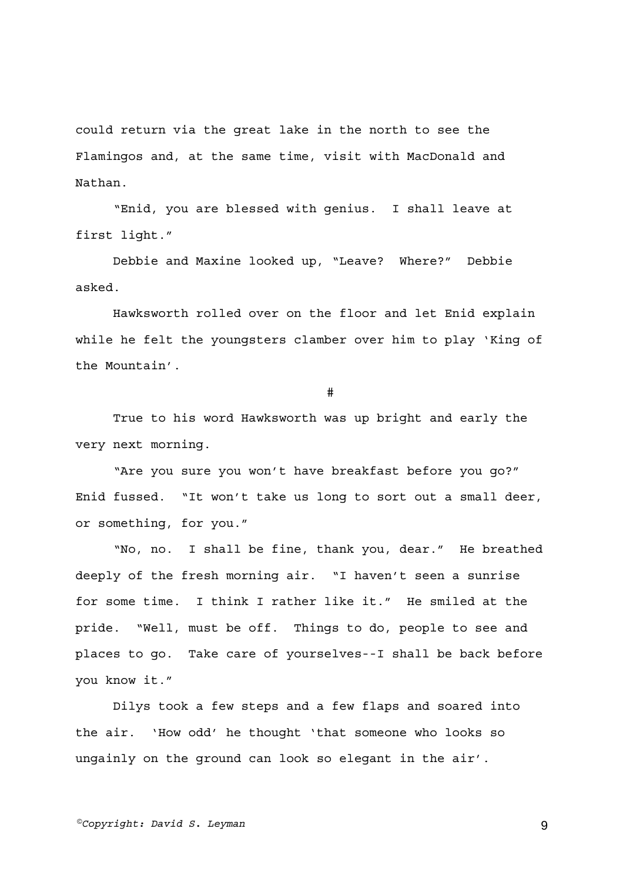could return via the great lake in the north to see the Flamingos and, at the same time, visit with MacDonald and Nathan.

"Enid, you are blessed with genius. I shall leave at first light."

Debbie and Maxine looked up, "Leave? Where?" Debbie asked.

Hawksworth rolled over on the floor and let Enid explain while he felt the youngsters clamber over him to play 'King of the Mountain'.

#

True to his word Hawksworth was up bright and early the very next morning.

"Are you sure you won't have breakfast before you go?" Enid fussed. "It won't take us long to sort out a small deer, or something, for you."

"No, no. I shall be fine, thank you, dear." He breathed deeply of the fresh morning air. "I haven't seen a sunrise for some time. I think I rather like it." He smiled at the pride. "Well, must be off. Things to do, people to see and places to go. Take care of yourselves--I shall be back before you know it."

Dilys took a few steps and a few flaps and soared into the air. 'How odd' he thought 'that someone who looks so ungainly on the ground can look so elegant in the air'.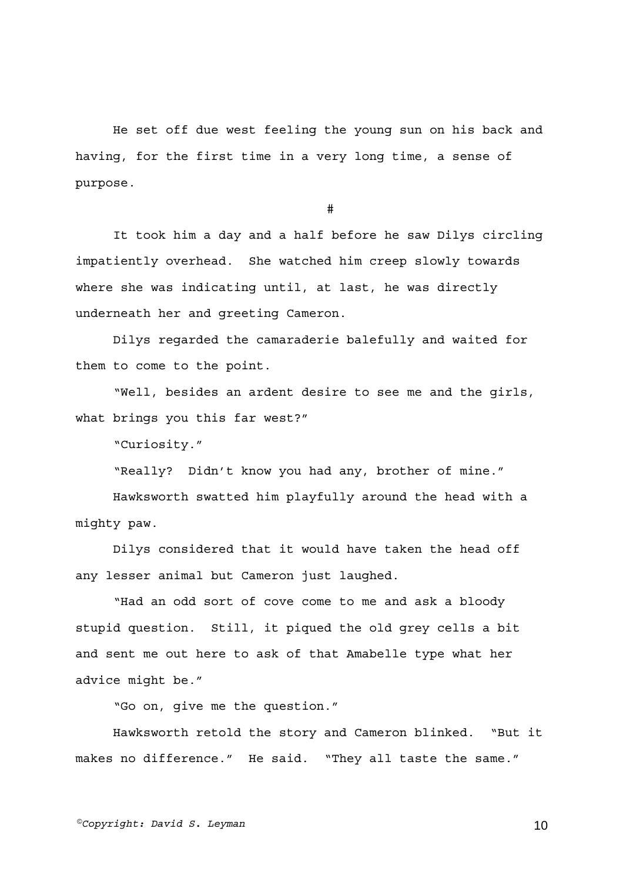He set off due west feeling the young sun on his back and having, for the first time in a very long time, a sense of purpose.

#

It took him a day and a half before he saw Dilys circling impatiently overhead. She watched him creep slowly towards where she was indicating until, at last, he was directly underneath her and greeting Cameron.

Dilys regarded the camaraderie balefully and waited for them to come to the point.

"Well, besides an ardent desire to see me and the girls, what brings you this far west?"

"Curiosity."

"Really? Didn't know you had any, brother of mine."

Hawksworth swatted him playfully around the head with a mighty paw.

Dilys considered that it would have taken the head off any lesser animal but Cameron just laughed.

"Had an odd sort of cove come to me and ask a bloody stupid question. Still, it piqued the old grey cells a bit and sent me out here to ask of that Amabelle type what her advice might be."

"Go on, give me the question."

Hawksworth retold the story and Cameron blinked. "But it makes no difference." He said. "They all taste the same."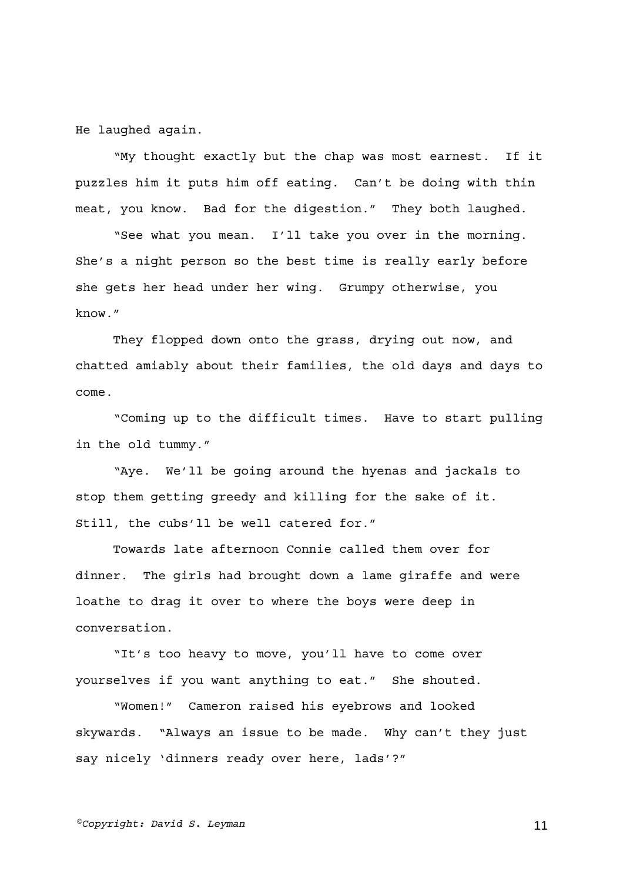He laughed again.

"My thought exactly but the chap was most earnest. If it puzzles him it puts him off eating. Can't be doing with thin meat, you know. Bad for the digestion." They both laughed.

"See what you mean. I'll take you over in the morning. She's a night person so the best time is really early before she gets her head under her wing. Grumpy otherwise, you know."

They flopped down onto the grass, drying out now, and chatted amiably about their families, the old days and days to come.

"Coming up to the difficult times. Have to start pulling in the old tummy."

"Aye. We'll be going around the hyenas and jackals to stop them getting greedy and killing for the sake of it. Still, the cubs'll be well catered for."

Towards late afternoon Connie called them over for dinner. The girls had brought down a lame giraffe and were loathe to drag it over to where the boys were deep in conversation.

"It's too heavy to move, you'll have to come over yourselves if you want anything to eat." She shouted.

"Women!" Cameron raised his eyebrows and looked skywards. "Always an issue to be made. Why can't they just say nicely 'dinners ready over here, lads'?"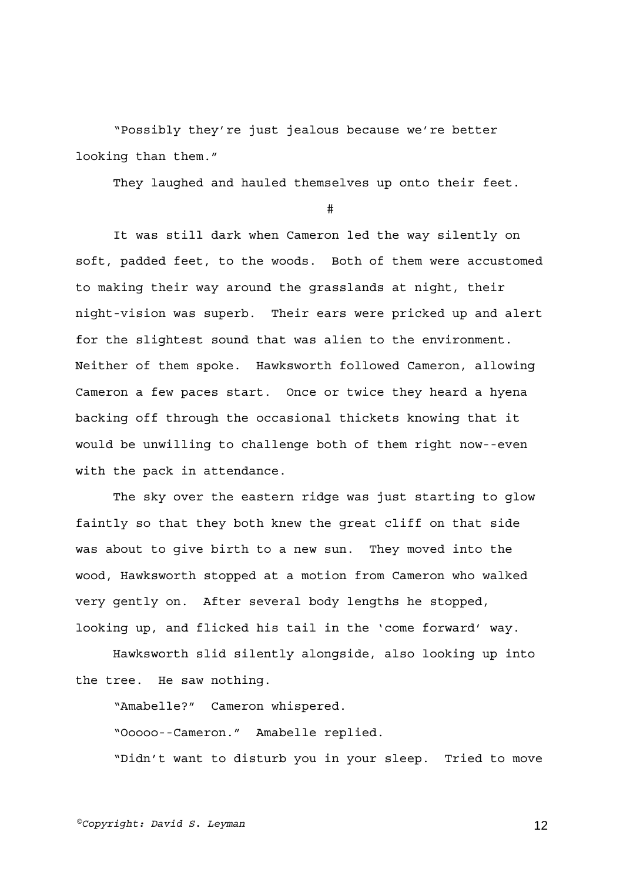"Possibly they're just jealous because we're better looking than them."

They laughed and hauled themselves up onto their feet.

#

It was still dark when Cameron led the way silently on soft, padded feet, to the woods. Both of them were accustomed to making their way around the grasslands at night, their night-vision was superb. Their ears were pricked up and alert for the slightest sound that was alien to the environment. Neither of them spoke. Hawksworth followed Cameron, allowing Cameron a few paces start. Once or twice they heard a hyena backing off through the occasional thickets knowing that it would be unwilling to challenge both of them right now--even with the pack in attendance.

The sky over the eastern ridge was just starting to glow faintly so that they both knew the great cliff on that side was about to give birth to a new sun. They moved into the wood, Hawksworth stopped at a motion from Cameron who walked very gently on. After several body lengths he stopped, looking up, and flicked his tail in the 'come forward' way.

Hawksworth slid silently alongside, also looking up into the tree. He saw nothing.

"Amabelle?" Cameron whispered.

"Ooooo--Cameron." Amabelle replied.

"Didn't want to disturb you in your sleep. Tried to move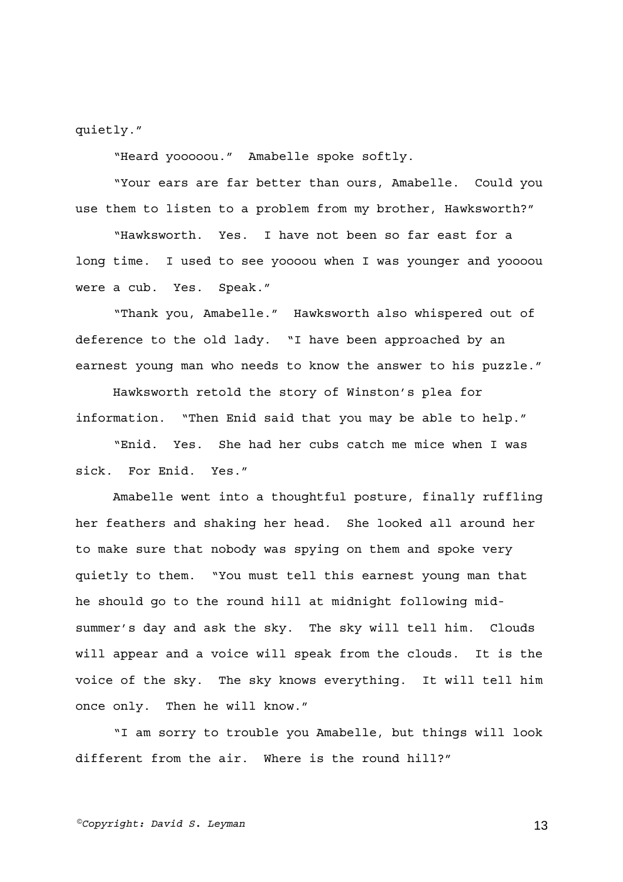quietly."

"Heard yooooou." Amabelle spoke softly.

"Your ears are far better than ours, Amabelle. Could you use them to listen to a problem from my brother, Hawksworth?"

"Hawksworth. Yes. I have not been so far east for a long time. I used to see yoooou when I was younger and yoooou were a cub. Yes. Speak."

"Thank you, Amabelle." Hawksworth also whispered out of deference to the old lady. "I have been approached by an earnest young man who needs to know the answer to his puzzle."

Hawksworth retold the story of Winston's plea for information. "Then Enid said that you may be able to help."

"Enid. Yes. She had her cubs catch me mice when I was sick. For Enid. Yes."

Amabelle went into a thoughtful posture, finally ruffling her feathers and shaking her head. She looked all around her to make sure that nobody was spying on them and spoke very quietly to them. "You must tell this earnest young man that he should go to the round hill at midnight following midsummer's day and ask the sky. The sky will tell him. Clouds will appear and a voice will speak from the clouds. It is the voice of the sky. The sky knows everything. It will tell him once only. Then he will know."

"I am sorry to trouble you Amabelle, but things will look different from the air. Where is the round hill?"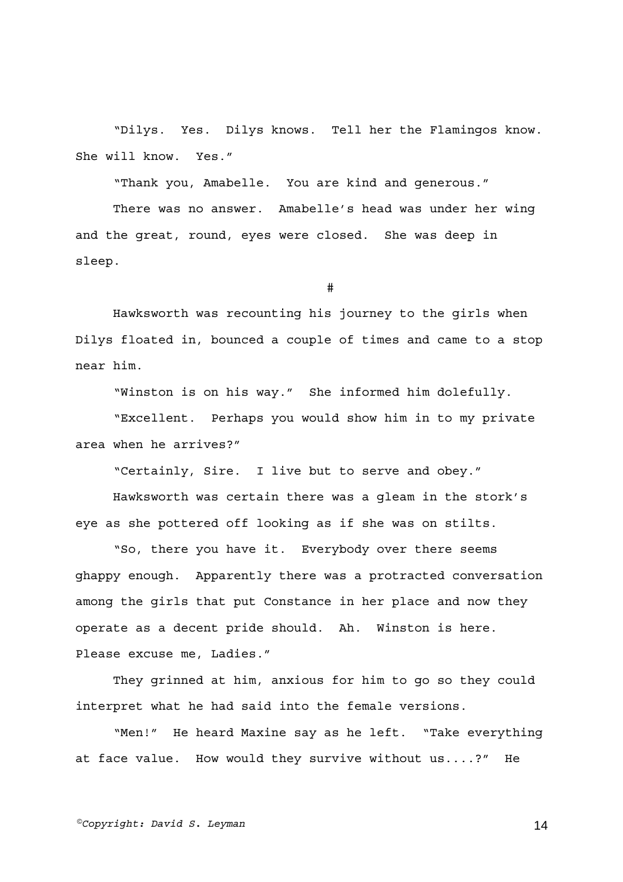"Dilys. Yes. Dilys knows. Tell her the Flamingos know. She will know. Yes."

"Thank you, Amabelle. You are kind and generous."

There was no answer. Amabelle's head was under her wing and the great, round, eyes were closed. She was deep in sleep.

#

Hawksworth was recounting his journey to the girls when Dilys floated in, bounced a couple of times and came to a stop near him.

"Winston is on his way." She informed him dolefully.

"Excellent. Perhaps you would show him in to my private area when he arrives?"

"Certainly, Sire. I live but to serve and obey."

Hawksworth was certain there was a gleam in the stork's eye as she pottered off looking as if she was on stilts.

"So, there you have it. Everybody over there seems ghappy enough. Apparently there was a protracted conversation among the girls that put Constance in her place and now they operate as a decent pride should. Ah. Winston is here. Please excuse me, Ladies."

They grinned at him, anxious for him to go so they could interpret what he had said into the female versions.

"Men!" He heard Maxine say as he left. "Take everything at face value. How would they survive without us....?" He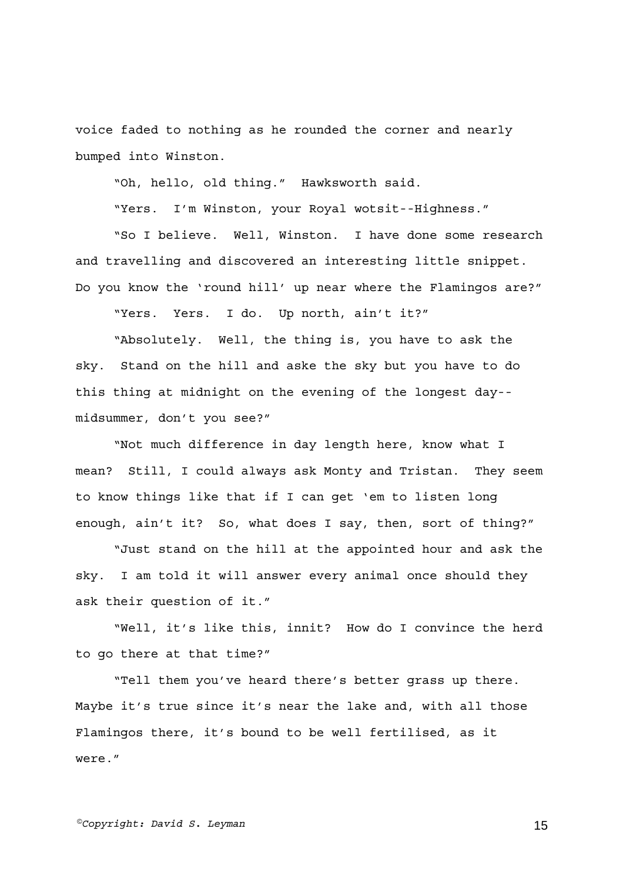voice faded to nothing as he rounded the corner and nearly bumped into Winston.

"Oh, hello, old thing." Hawksworth said.

"Yers. I'm Winston, your Royal wotsit--Highness."

"So I believe. Well, Winston. I have done some research and travelling and discovered an interesting little snippet. Do you know the 'round hill' up near where the Flamingos are?"

"Yers. Yers. I do. Up north, ain't it?"

"Absolutely. Well, the thing is, you have to ask the sky. Stand on the hill and aske the sky but you have to do this thing at midnight on the evening of the longest day- midsummer, don't you see?"

"Not much difference in day length here, know what I mean? Still, I could always ask Monty and Tristan. They seem to know things like that if I can get 'em to listen long enough, ain't it? So, what does I say, then, sort of thing?"

"Just stand on the hill at the appointed hour and ask the sky. I am told it will answer every animal once should they ask their question of it."

"Well, it's like this, innit? How do I convince the herd to go there at that time?"

"Tell them you've heard there's better grass up there. Maybe it's true since it's near the lake and, with all those Flamingos there, it's bound to be well fertilised, as it were."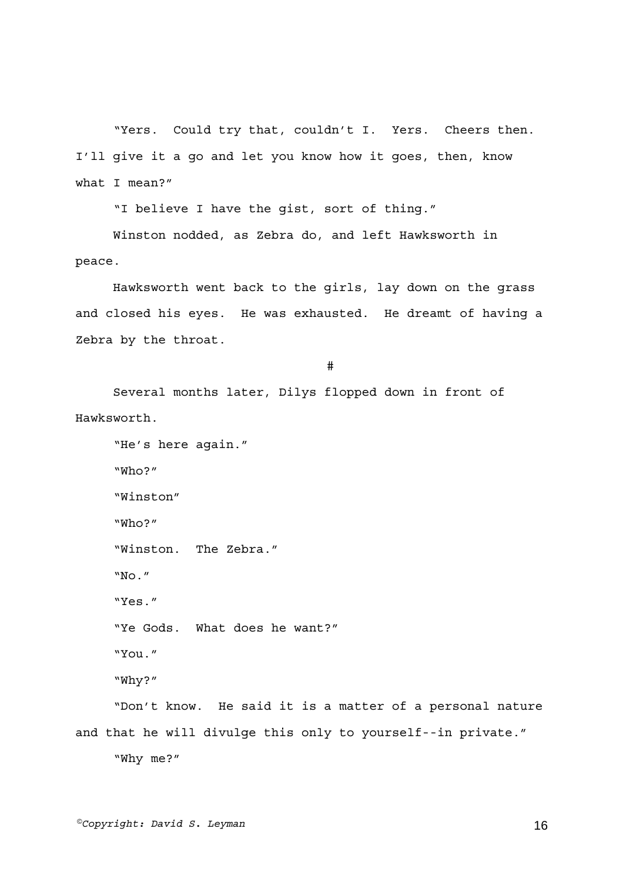"Yers. Could try that, couldn't I. Yers. Cheers then. I'll give it a go and let you know how it goes, then, know what I mean?"

"I believe I have the gist, sort of thing."

Winston nodded, as Zebra do, and left Hawksworth in peace.

Hawksworth went back to the girls, lay down on the grass and closed his eyes. He was exhausted. He dreamt of having a Zebra by the throat.

#

Several months later, Dilys flopped down in front of Hawksworth.

```
"He's here again." 
     "Who?" 
     "Winston" 
     "Who?" 
     "Winston. The Zebra." 
     "No." 
     "Yes." 
     "Ye Gods. What does he want?" 
     "You." 
     "Why?" 
     "Don't know. He said it is a matter of a personal nature 
and that he will divulge this only to yourself--in private." 
     "Why me?"
```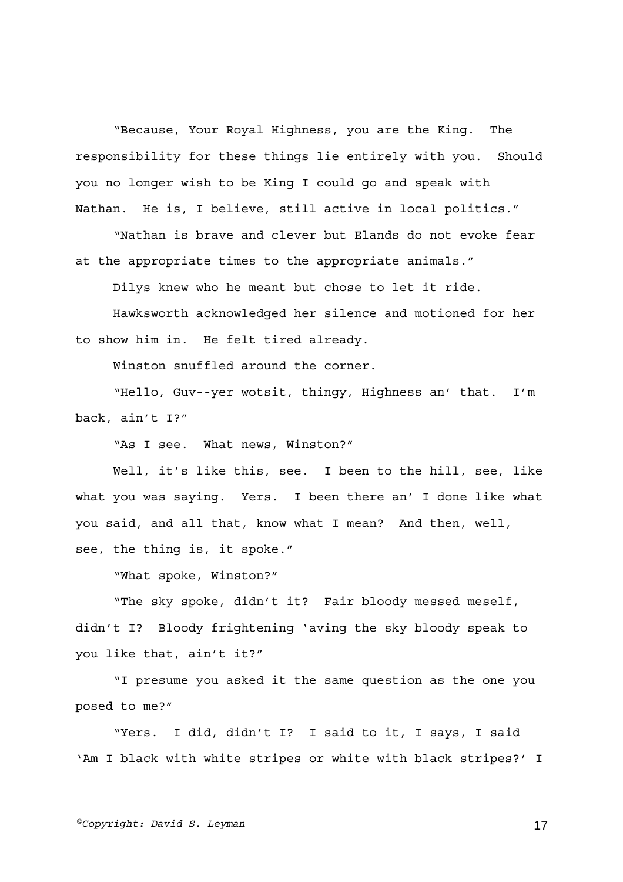"Because, Your Royal Highness, you are the King. The responsibility for these things lie entirely with you. Should you no longer wish to be King I could go and speak with Nathan. He is, I believe, still active in local politics."

"Nathan is brave and clever but Elands do not evoke fear at the appropriate times to the appropriate animals."

Dilys knew who he meant but chose to let it ride.

Hawksworth acknowledged her silence and motioned for her to show him in. He felt tired already.

Winston snuffled around the corner.

"Hello, Guv--yer wotsit, thingy, Highness an' that. I'm back, ain't I?"

"As I see. What news, Winston?"

Well, it's like this, see. I been to the hill, see, like what you was saying. Yers. I been there an' I done like what you said, and all that, know what I mean? And then, well, see, the thing is, it spoke."

"What spoke, Winston?"

"The sky spoke, didn't it? Fair bloody messed meself, didn't I? Bloody frightening 'aving the sky bloody speak to you like that, ain't it?"

"I presume you asked it the same question as the one you posed to me?"

"Yers. I did, didn't I? I said to it, I says, I said 'Am I black with white stripes or white with black stripes?' I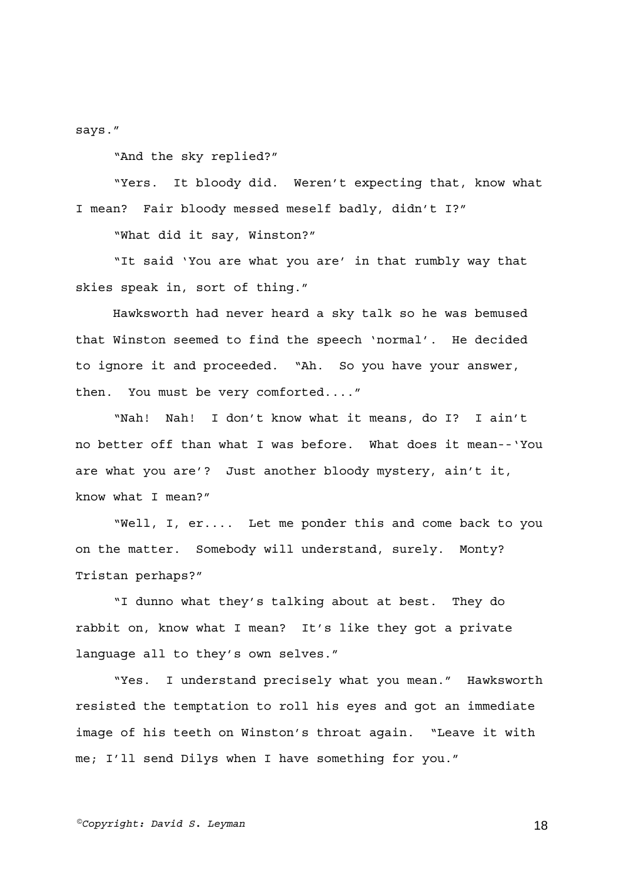says."

"And the sky replied?"

"Yers. It bloody did. Weren't expecting that, know what I mean? Fair bloody messed meself badly, didn't I?"

"What did it say, Winston?"

"It said 'You are what you are' in that rumbly way that skies speak in, sort of thing."

Hawksworth had never heard a sky talk so he was bemused that Winston seemed to find the speech 'normal'. He decided to ignore it and proceeded. "Ah. So you have your answer, then. You must be very comforted...."

"Nah! Nah! I don't know what it means, do I? I ain't no better off than what I was before. What does it mean--'You are what you are'? Just another bloody mystery, ain't it, know what I mean?"

"Well, I, er.... Let me ponder this and come back to you on the matter. Somebody will understand, surely. Monty? Tristan perhaps?"

"I dunno what they's talking about at best. They do rabbit on, know what I mean? It's like they got a private language all to they's own selves."

"Yes. I understand precisely what you mean." Hawksworth resisted the temptation to roll his eyes and got an immediate image of his teeth on Winston's throat again. "Leave it with me; I'll send Dilys when I have something for you."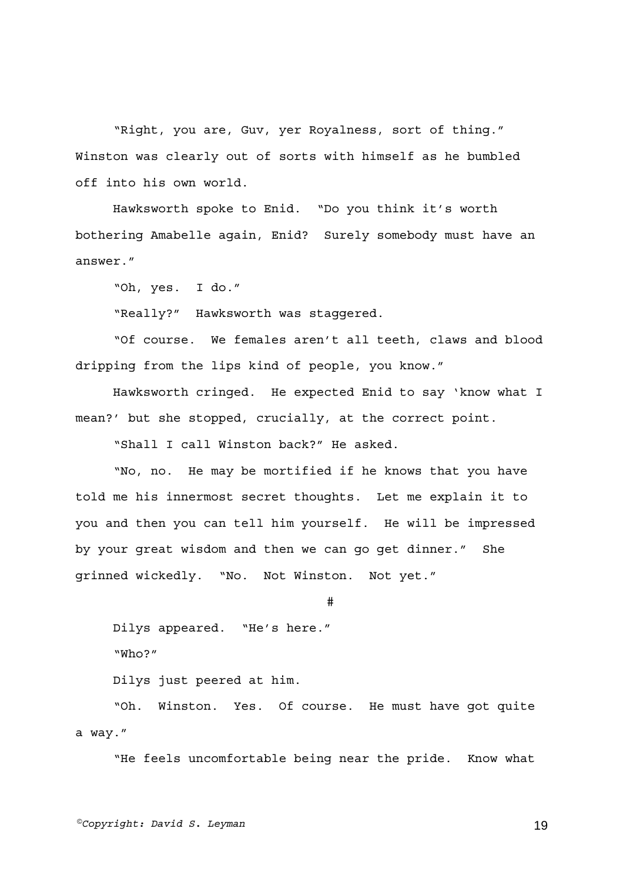"Right, you are, Guv, yer Royalness, sort of thing." Winston was clearly out of sorts with himself as he bumbled off into his own world.

Hawksworth spoke to Enid. "Do you think it's worth bothering Amabelle again, Enid? Surely somebody must have an answer."

"Oh, yes. I do."

"Really?" Hawksworth was staggered.

"Of course. We females aren't all teeth, claws and blood dripping from the lips kind of people, you know."

Hawksworth cringed. He expected Enid to say 'know what I mean?' but she stopped, crucially, at the correct point.

"Shall I call Winston back?" He asked.

"No, no. He may be mortified if he knows that you have told me his innermost secret thoughts. Let me explain it to you and then you can tell him yourself. He will be impressed by your great wisdom and then we can go get dinner." She grinned wickedly. "No. Not Winston. Not yet."

#

Dilys appeared. "He's here." "Who?"

Dilys just peered at him.

"Oh. Winston. Yes. Of course. He must have got quite a way."

"He feels uncomfortable being near the pride. Know what